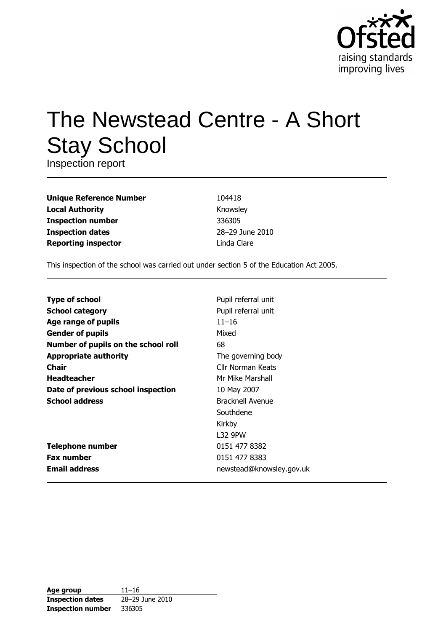

# The Newstead Centre - A Short **Stay School**

Inspection report

| <b>Unique Reference Number</b> |
|--------------------------------|
| <b>Local Authority</b>         |
| <b>Inspection number</b>       |
| <b>Inspection dates</b>        |
| <b>Reporting inspector</b>     |

104418 Knowsley 336305 28-29 June 2010 Linda Clare

This inspection of the school was carried out under section 5 of the Education Act 2005.

| <b>Type of school</b>               | Pupil referral unit      |
|-------------------------------------|--------------------------|
| <b>School category</b>              | Pupil referral unit      |
| Age range of pupils                 | $11 - 16$                |
| <b>Gender of pupils</b>             | Mixed                    |
| Number of pupils on the school roll | 68                       |
| <b>Appropriate authority</b>        | The governing body       |
| Chair                               | Cllr Norman Keats        |
| <b>Headteacher</b>                  | Mr Mike Marshall         |
| Date of previous school inspection  | 10 May 2007              |
| <b>School address</b>               | Bracknell Avenue         |
|                                     | Southdene                |
|                                     | Kirkby                   |
|                                     | L32 9PW                  |
| <b>Telephone number</b>             | 0151 477 8382            |
| <b>Fax number</b>                   | 0151 477 8383            |
| <b>Email address</b>                | newstead@knowsley.gov.uk |

| Age group                | $11 - 16$       |
|--------------------------|-----------------|
| <b>Inspection dates</b>  | 28-29 June 2010 |
| <b>Inspection number</b> | 336305          |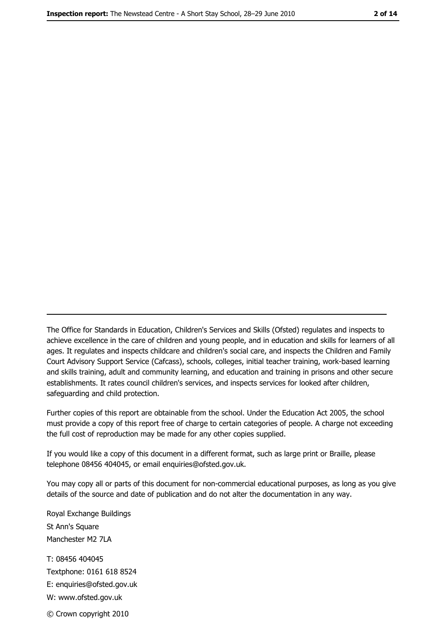The Office for Standards in Education, Children's Services and Skills (Ofsted) regulates and inspects to achieve excellence in the care of children and young people, and in education and skills for learners of all ages. It regulates and inspects childcare and children's social care, and inspects the Children and Family Court Advisory Support Service (Cafcass), schools, colleges, initial teacher training, work-based learning and skills training, adult and community learning, and education and training in prisons and other secure establishments. It rates council children's services, and inspects services for looked after children, safequarding and child protection.

Further copies of this report are obtainable from the school. Under the Education Act 2005, the school must provide a copy of this report free of charge to certain categories of people. A charge not exceeding the full cost of reproduction may be made for any other copies supplied.

If you would like a copy of this document in a different format, such as large print or Braille, please telephone 08456 404045, or email enquiries@ofsted.gov.uk.

You may copy all or parts of this document for non-commercial educational purposes, as long as you give details of the source and date of publication and do not alter the documentation in any way.

Royal Exchange Buildings St Ann's Square Manchester M2 7LA T: 08456 404045 Textphone: 0161 618 8524 E: enquiries@ofsted.gov.uk W: www.ofsted.gov.uk © Crown copyright 2010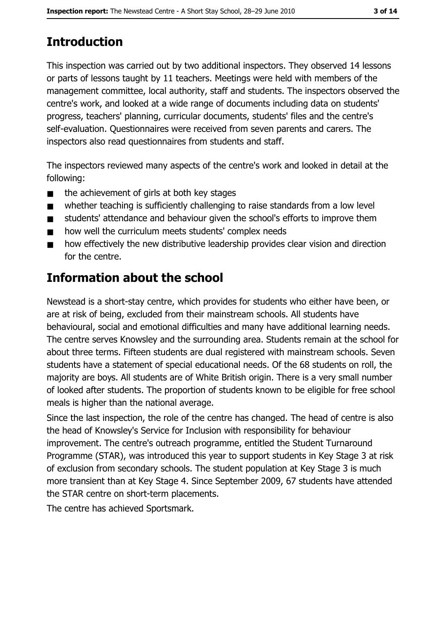# **Introduction**

This inspection was carried out by two additional inspectors. They observed 14 lessons or parts of lessons taught by 11 teachers. Meetings were held with members of the management committee, local authority, staff and students. The inspectors observed the centre's work, and looked at a wide range of documents including data on students' progress, teachers' planning, curricular documents, students' files and the centre's self-evaluation. Questionnaires were received from seven parents and carers. The inspectors also read questionnaires from students and staff.

The inspectors reviewed many aspects of the centre's work and looked in detail at the following:

- the achievement of girls at both key stages  $\blacksquare$
- whether teaching is sufficiently challenging to raise standards from a low level  $\blacksquare$
- students' attendance and behaviour given the school's efforts to improve them  $\blacksquare$
- how well the curriculum meets students' complex needs  $\blacksquare$
- how effectively the new distributive leadership provides clear vision and direction  $\blacksquare$ for the centre.

# Information about the school

Newstead is a short-stay centre, which provides for students who either have been, or are at risk of being, excluded from their mainstream schools. All students have behavioural, social and emotional difficulties and many have additional learning needs. The centre serves Knowsley and the surrounding area. Students remain at the school for about three terms. Fifteen students are dual registered with mainstream schools. Seven students have a statement of special educational needs. Of the 68 students on roll, the majority are boys. All students are of White British origin. There is a very small number of looked after students. The proportion of students known to be eligible for free school meals is higher than the national average.

Since the last inspection, the role of the centre has changed. The head of centre is also the head of Knowsley's Service for Inclusion with responsibility for behaviour improvement. The centre's outreach programme, entitled the Student Turnaround Programme (STAR), was introduced this year to support students in Key Stage 3 at risk of exclusion from secondary schools. The student population at Key Stage 3 is much more transient than at Key Stage 4. Since September 2009, 67 students have attended the STAR centre on short-term placements.

The centre has achieved Sportsmark.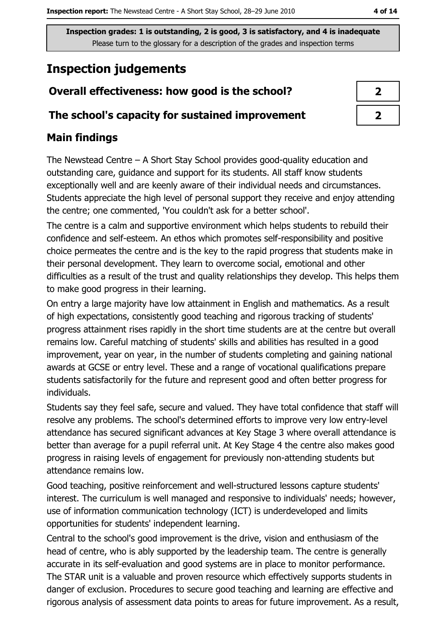# **Inspection judgements**

# Overall effectiveness: how good is the school?

## The school's capacity for sustained improvement

## **Main findings**

The Newstead Centre  $-$  A Short Stay School provides good-quality education and outstanding care, guidance and support for its students. All staff know students exceptionally well and are keenly aware of their individual needs and circumstances. Students appreciate the high level of personal support they receive and enjoy attending the centre; one commented, 'You couldn't ask for a better school'.

The centre is a calm and supportive environment which helps students to rebuild their confidence and self-esteem. An ethos which promotes self-responsibility and positive choice permeates the centre and is the key to the rapid progress that students make in their personal development. They learn to overcome social, emotional and other difficulties as a result of the trust and quality relationships they develop. This helps them to make good progress in their learning.

On entry a large majority have low attainment in English and mathematics. As a result of high expectations, consistently good teaching and rigorous tracking of students' progress attainment rises rapidly in the short time students are at the centre but overall remains low. Careful matching of students' skills and abilities has resulted in a good improvement, year on year, in the number of students completing and gaining national awards at GCSE or entry level. These and a range of vocational qualifications prepare students satisfactorily for the future and represent good and often better progress for individuals.

Students say they feel safe, secure and valued. They have total confidence that staff will resolve any problems. The school's determined efforts to improve very low entry-level attendance has secured significant advances at Key Stage 3 where overall attendance is better than average for a pupil referral unit. At Key Stage 4 the centre also makes good progress in raising levels of engagement for previously non-attending students but attendance remains low.

Good teaching, positive reinforcement and well-structured lessons capture students' interest. The curriculum is well managed and responsive to individuals' needs; however, use of information communication technology (ICT) is underdeveloped and limits opportunities for students' independent learning.

Central to the school's good improvement is the drive, vision and enthusiasm of the head of centre, who is ably supported by the leadership team. The centre is generally accurate in its self-evaluation and good systems are in place to monitor performance. The STAR unit is a valuable and proven resource which effectively supports students in danger of exclusion. Procedures to secure good teaching and learning are effective and rigorous analysis of assessment data points to areas for future improvement. As a result,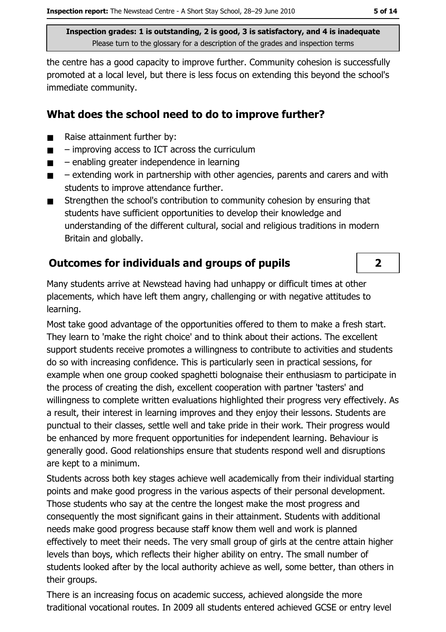the centre has a good capacity to improve further. Community cohesion is successfully promoted at a local level, but there is less focus on extending this beyond the school's immediate community.

## What does the school need to do to improve further?

- Raise attainment further by:  $\blacksquare$
- improving access to ICT across the curriculum  $\blacksquare$
- $-$  enabling greater independence in learning  $\blacksquare$
- extending work in partnership with other agencies, parents and carers and with  $\blacksquare$ students to improve attendance further.
- Strengthen the school's contribution to community cohesion by ensuring that  $\blacksquare$ students have sufficient opportunities to develop their knowledge and understanding of the different cultural, social and religious traditions in modern Britain and globally.

# **Outcomes for individuals and groups of pupils**

Many students arrive at Newstead having had unhappy or difficult times at other placements, which have left them angry, challenging or with negative attitudes to learning.

Most take good advantage of the opportunities offered to them to make a fresh start. They learn to 'make the right choice' and to think about their actions. The excellent support students receive promotes a willingness to contribute to activities and students do so with increasing confidence. This is particularly seen in practical sessions, for example when one group cooked spaghetti bolognaise their enthusiasm to participate in the process of creating the dish, excellent cooperation with partner 'tasters' and willingness to complete written evaluations highlighted their progress very effectively. As a result, their interest in learning improves and they enjoy their lessons. Students are punctual to their classes, settle well and take pride in their work. Their progress would be enhanced by more frequent opportunities for independent learning. Behaviour is generally good. Good relationships ensure that students respond well and disruptions are kept to a minimum.

Students across both key stages achieve well academically from their individual starting points and make good progress in the various aspects of their personal development. Those students who say at the centre the longest make the most progress and consequently the most significant gains in their attainment. Students with additional needs make good progress because staff know them well and work is planned effectively to meet their needs. The very small group of girls at the centre attain higher levels than boys, which reflects their higher ability on entry. The small number of students looked after by the local authority achieve as well, some better, than others in their groups.

There is an increasing focus on academic success, achieved alongside the more traditional vocational routes. In 2009 all students entered achieved GCSE or entry level

 $\overline{2}$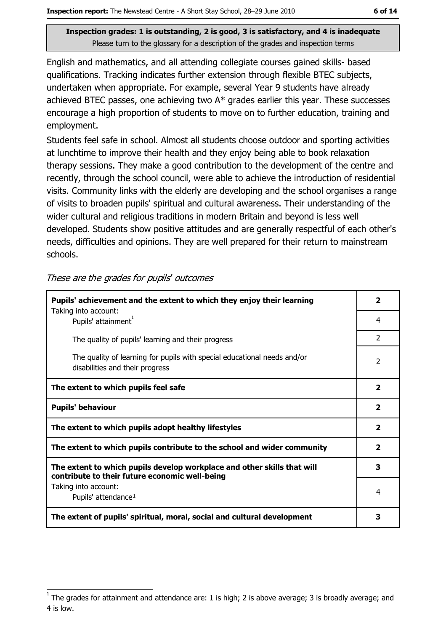English and mathematics, and all attending collegiate courses gained skills- based qualifications. Tracking indicates further extension through flexible BTEC subjects, undertaken when appropriate. For example, several Year 9 students have already achieved BTEC passes, one achieving two  $A^*$  grades earlier this year. These successes encourage a high proportion of students to move on to further education, training and employment.

Students feel safe in school. Almost all students choose outdoor and sporting activities at lunchtime to improve their health and they enjoy being able to book relaxation therapy sessions. They make a good contribution to the development of the centre and recently, through the school council, were able to achieve the introduction of residential visits. Community links with the elderly are developing and the school organises a range of visits to broaden pupils' spiritual and cultural awareness. Their understanding of the wider cultural and religious traditions in modern Britain and beyond is less well developed. Students show positive attitudes and are generally respectful of each other's needs, difficulties and opinions. They are well prepared for their return to mainstream schools.

| These are the grades for pupils' outcomes |  |  |  |
|-------------------------------------------|--|--|--|
|-------------------------------------------|--|--|--|

| Pupils' achievement and the extent to which they enjoy their learning                                                     |                         |
|---------------------------------------------------------------------------------------------------------------------------|-------------------------|
| Taking into account:<br>Pupils' attainment <sup>1</sup>                                                                   | 4                       |
| The quality of pupils' learning and their progress                                                                        | $\mathcal{P}$           |
| The quality of learning for pupils with special educational needs and/or<br>disabilities and their progress               | $\mathcal{P}$           |
| The extent to which pupils feel safe                                                                                      | $\overline{\mathbf{2}}$ |
| <b>Pupils' behaviour</b>                                                                                                  |                         |
| The extent to which pupils adopt healthy lifestyles                                                                       | $\overline{\mathbf{2}}$ |
| The extent to which pupils contribute to the school and wider community                                                   |                         |
| The extent to which pupils develop workplace and other skills that will<br>contribute to their future economic well-being |                         |
| Taking into account:<br>Pupils' attendance <sup>1</sup>                                                                   | 4                       |
| The extent of pupils' spiritual, moral, social and cultural development                                                   |                         |

 $1$  The arades for attainment and attendance are: 1 is high; 2 is above average; 3 is broadly average; and 4 is low.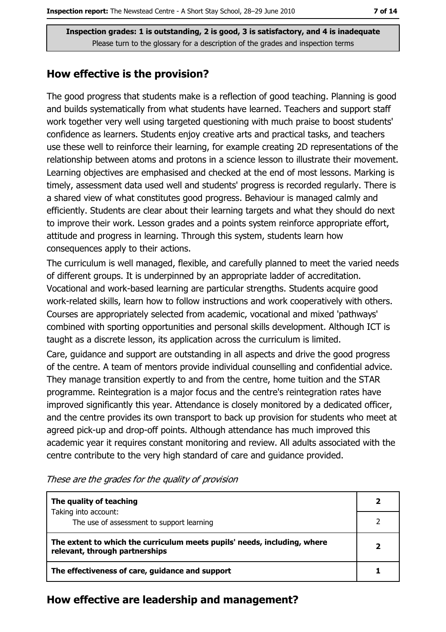### How effective is the provision?

The good progress that students make is a reflection of good teaching. Planning is good and builds systematically from what students have learned. Teachers and support staff work together very well using targeted questioning with much praise to boost students' confidence as learners. Students enjoy creative arts and practical tasks, and teachers use these well to reinforce their learning, for example creating 2D representations of the relationship between atoms and protons in a science lesson to illustrate their movement. Learning objectives are emphasised and checked at the end of most lessons. Marking is timely, assessment data used well and students' progress is recorded regularly. There is a shared view of what constitutes good progress. Behaviour is managed calmly and efficiently. Students are clear about their learning targets and what they should do next to improve their work. Lesson grades and a points system reinforce appropriate effort, attitude and progress in learning. Through this system, students learn how consequences apply to their actions.

The curriculum is well managed, flexible, and carefully planned to meet the varied needs of different groups. It is underpinned by an appropriate ladder of accreditation. Vocational and work-based learning are particular strengths. Students acquire good work-related skills, learn how to follow instructions and work cooperatively with others. Courses are appropriately selected from academic, vocational and mixed 'pathways' combined with sporting opportunities and personal skills development. Although ICT is taught as a discrete lesson, its application across the curriculum is limited.

Care, guidance and support are outstanding in all aspects and drive the good progress of the centre. A team of mentors provide individual counselling and confidential advice. They manage transition expertly to and from the centre, home tuition and the STAR programme. Reintegration is a major focus and the centre's reintegration rates have improved significantly this year. Attendance is closely monitored by a dedicated officer, and the centre provides its own transport to back up provision for students who meet at agreed pick-up and drop-off points. Although attendance has much improved this academic year it requires constant monitoring and review. All adults associated with the centre contribute to the very high standard of care and quidance provided.

| The quality of teaching                                                                                    |  |
|------------------------------------------------------------------------------------------------------------|--|
| Taking into account:<br>The use of assessment to support learning                                          |  |
| The extent to which the curriculum meets pupils' needs, including, where<br>relevant, through partnerships |  |
| The effectiveness of care, guidance and support                                                            |  |

These are the grades for the quality of provision

#### How effective are leadership and management?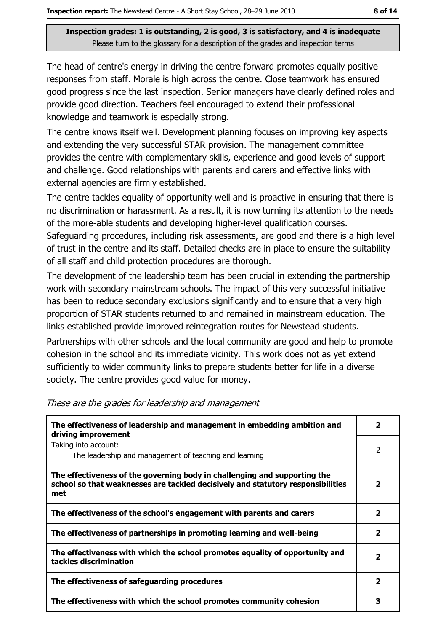The head of centre's energy in driving the centre forward promotes equally positive responses from staff. Morale is high across the centre. Close teamwork has ensured good progress since the last inspection. Senior managers have clearly defined roles and provide good direction. Teachers feel encouraged to extend their professional knowledge and teamwork is especially strong.

The centre knows itself well. Development planning focuses on improving key aspects and extending the very successful STAR provision. The management committee provides the centre with complementary skills, experience and good levels of support and challenge. Good relationships with parents and carers and effective links with external agencies are firmly established.

The centre tackles equality of opportunity well and is proactive in ensuring that there is no discrimination or harassment. As a result, it is now turning its attention to the needs of the more-able students and developing higher-level qualification courses.

Safeguarding procedures, including risk assessments, are good and there is a high level of trust in the centre and its staff. Detailed checks are in place to ensure the suitability of all staff and child protection procedures are thorough.

The development of the leadership team has been crucial in extending the partnership work with secondary mainstream schools. The impact of this very successful initiative has been to reduce secondary exclusions significantly and to ensure that a very high proportion of STAR students returned to and remained in mainstream education. The links established provide improved reintegration routes for Newstead students.

Partnerships with other schools and the local community are good and help to promote cohesion in the school and its immediate vicinity. This work does not as yet extend sufficiently to wider community links to prepare students better for life in a diverse society. The centre provides good value for money.

| The effectiveness of leadership and management in embedding ambition and<br>driving improvement                                                                     |                         |  |
|---------------------------------------------------------------------------------------------------------------------------------------------------------------------|-------------------------|--|
| Taking into account:<br>The leadership and management of teaching and learning                                                                                      | 2                       |  |
| The effectiveness of the governing body in challenging and supporting the<br>school so that weaknesses are tackled decisively and statutory responsibilities<br>met | 2                       |  |
| The effectiveness of the school's engagement with parents and carers                                                                                                | 2                       |  |
| The effectiveness of partnerships in promoting learning and well-being                                                                                              | $\overline{\mathbf{2}}$ |  |
| The effectiveness with which the school promotes equality of opportunity and<br>tackles discrimination                                                              |                         |  |
| The effectiveness of safeguarding procedures                                                                                                                        | $\mathbf{2}$            |  |
| The effectiveness with which the school promotes community cohesion                                                                                                 | 3                       |  |

#### These are the grades for leadership and management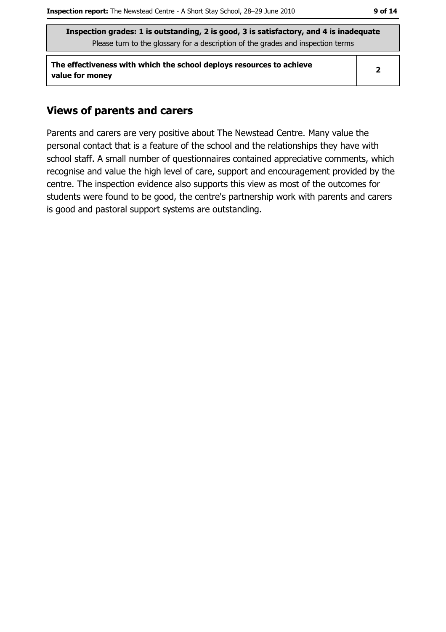The effectiveness with which the school deploys resources to achieve value for money

 $\overline{\mathbf{2}}$ 

## **Views of parents and carers**

Parents and carers are very positive about The Newstead Centre. Many value the personal contact that is a feature of the school and the relationships they have with school staff. A small number of questionnaires contained appreciative comments, which recognise and value the high level of care, support and encouragement provided by the centre. The inspection evidence also supports this view as most of the outcomes for students were found to be good, the centre's partnership work with parents and carers is good and pastoral support systems are outstanding.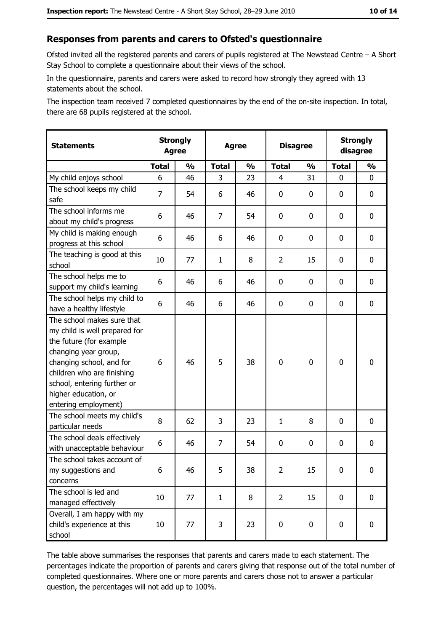#### Responses from parents and carers to Ofsted's questionnaire

Ofsted invited all the registered parents and carers of pupils registered at The Newstead Centre  $-A$  Short Stay School to complete a questionnaire about their views of the school.

In the questionnaire, parents and carers were asked to record how strongly they agreed with 13 statements about the school.

The inspection team received 7 completed questionnaires by the end of the on-site inspection. In total, there are 68 pupils registered at the school.

| <b>Statements</b>                                                                                                                                                                                                                                       | <b>Strongly</b><br><b>Agree</b> |               | <b>Agree</b>   |               | <b>Disagree</b> |               | <b>Strongly</b><br>disagree |               |
|---------------------------------------------------------------------------------------------------------------------------------------------------------------------------------------------------------------------------------------------------------|---------------------------------|---------------|----------------|---------------|-----------------|---------------|-----------------------------|---------------|
|                                                                                                                                                                                                                                                         | <b>Total</b>                    | $\frac{0}{0}$ | <b>Total</b>   | $\frac{0}{0}$ | <b>Total</b>    | $\frac{0}{0}$ | <b>Total</b>                | $\frac{0}{0}$ |
| My child enjoys school                                                                                                                                                                                                                                  | 6                               | 46            | 3              | 23            | $\overline{4}$  | 31            | $\mathbf{0}$                | 0             |
| The school keeps my child<br>safe                                                                                                                                                                                                                       | $\overline{7}$                  | 54            | 6              | 46            | $\mathbf 0$     | 0             | 0                           | $\mathbf 0$   |
| The school informs me<br>about my child's progress                                                                                                                                                                                                      | 6                               | 46            | 7              | 54            | 0               | 0             | 0                           | 0             |
| My child is making enough<br>progress at this school                                                                                                                                                                                                    | 6                               | 46            | 6              | 46            | $\mathbf 0$     | 0             | 0                           | 0             |
| The teaching is good at this<br>school                                                                                                                                                                                                                  | 10                              | 77            | $\mathbf{1}$   | 8             | $\overline{2}$  | 15            | 0                           | 0             |
| The school helps me to<br>support my child's learning                                                                                                                                                                                                   | 6                               | 46            | 6              | 46            | $\mathbf 0$     | 0             | 0                           | 0             |
| The school helps my child to<br>have a healthy lifestyle                                                                                                                                                                                                | 6                               | 46            | 6              | 46            | $\mathbf 0$     | 0             | 0                           | $\mathbf 0$   |
| The school makes sure that<br>my child is well prepared for<br>the future (for example<br>changing year group,<br>changing school, and for<br>children who are finishing<br>school, entering further or<br>higher education, or<br>entering employment) | 6                               | 46            | 5              | 38            | $\mathbf 0$     | 0             | $\mathbf 0$                 | $\mathbf 0$   |
| The school meets my child's<br>particular needs                                                                                                                                                                                                         | 8                               | 62            | 3              | 23            | $\mathbf{1}$    | 8             | 0                           | 0             |
| The school deals effectively<br>with unacceptable behaviour                                                                                                                                                                                             | 6                               | 46            | $\overline{7}$ | 54            | $\mathbf 0$     | 0             | 0                           | $\bf{0}$      |
| The school takes account of<br>my suggestions and<br>concerns                                                                                                                                                                                           | 6                               | 46            | 5              | 38            | $\overline{2}$  | 15            | 0                           | $\bf{0}$      |
| The school is led and<br>managed effectively                                                                                                                                                                                                            | 10                              | 77            | $\mathbf{1}$   | 8             | $\overline{2}$  | 15            | $\mathbf 0$                 | 0             |
| Overall, I am happy with my<br>child's experience at this<br>school                                                                                                                                                                                     | 10                              | 77            | 3              | 23            | $\pmb{0}$       | $\pmb{0}$     | $\mathbf 0$                 | 0             |

The table above summarises the responses that parents and carers made to each statement. The percentages indicate the proportion of parents and carers giving that response out of the total number of completed questionnaires. Where one or more parents and carers chose not to answer a particular question, the percentages will not add up to 100%.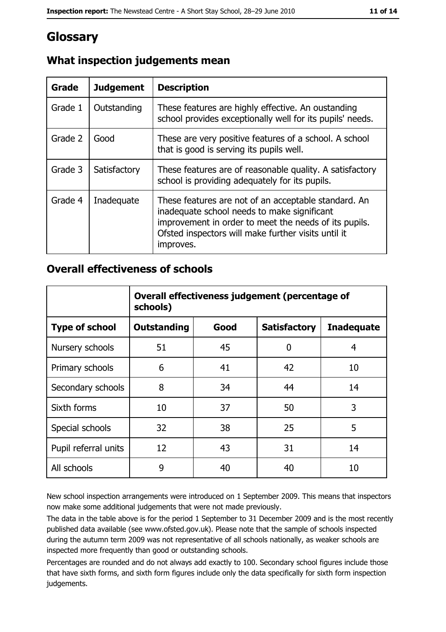# **Glossary**

| <b>Grade</b> | <b>Judgement</b> | <b>Description</b>                                                                                                                                                                                                               |
|--------------|------------------|----------------------------------------------------------------------------------------------------------------------------------------------------------------------------------------------------------------------------------|
| Grade 1      | Outstanding      | These features are highly effective. An oustanding<br>school provides exceptionally well for its pupils' needs.                                                                                                                  |
| Grade 2      | Good             | These are very positive features of a school. A school<br>that is good is serving its pupils well.                                                                                                                               |
| Grade 3      | Satisfactory     | These features are of reasonable quality. A satisfactory<br>school is providing adequately for its pupils.                                                                                                                       |
| Grade 4      | Inadequate       | These features are not of an acceptable standard. An<br>inadequate school needs to make significant<br>improvement in order to meet the needs of its pupils.<br>Ofsted inspectors will make further visits until it<br>improves. |

# What inspection judgements mean

## **Overall effectiveness of schools**

|                       | Overall effectiveness judgement (percentage of<br>schools) |      |                     |                   |
|-----------------------|------------------------------------------------------------|------|---------------------|-------------------|
| <b>Type of school</b> | <b>Outstanding</b>                                         | Good | <b>Satisfactory</b> | <b>Inadequate</b> |
| Nursery schools       | 51                                                         | 45   | 0                   | 4                 |
| Primary schools       | 6                                                          | 41   | 42                  | 10                |
| Secondary schools     | 8                                                          | 34   | 44                  | 14                |
| Sixth forms           | 10                                                         | 37   | 50                  | 3                 |
| Special schools       | 32                                                         | 38   | 25                  | 5                 |
| Pupil referral units  | 12                                                         | 43   | 31                  | 14                |
| All schools           | 9                                                          | 40   | 40                  | 10                |

New school inspection arrangements were introduced on 1 September 2009. This means that inspectors now make some additional judgements that were not made previously.

The data in the table above is for the period 1 September to 31 December 2009 and is the most recently published data available (see www.ofsted.gov.uk). Please note that the sample of schools inspected during the autumn term 2009 was not representative of all schools nationally, as weaker schools are inspected more frequently than good or outstanding schools.

Percentages are rounded and do not always add exactly to 100. Secondary school figures include those that have sixth forms, and sixth form figures include only the data specifically for sixth form inspection judgements.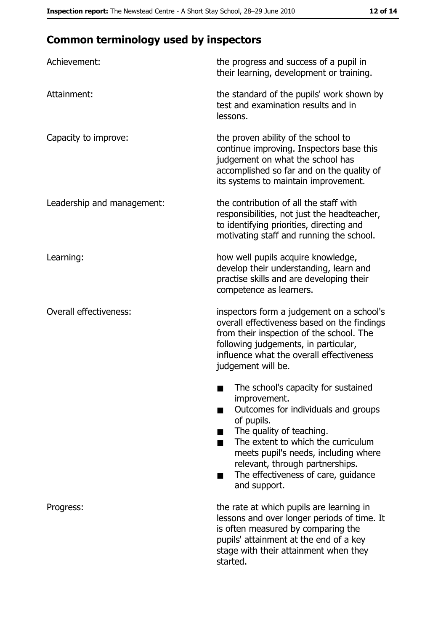# **Common terminology used by inspectors**

| Achievement:                  | the progress and success of a pupil in<br>their learning, development or training.                                                                                                                                                                                                                           |
|-------------------------------|--------------------------------------------------------------------------------------------------------------------------------------------------------------------------------------------------------------------------------------------------------------------------------------------------------------|
| Attainment:                   | the standard of the pupils' work shown by<br>test and examination results and in<br>lessons.                                                                                                                                                                                                                 |
| Capacity to improve:          | the proven ability of the school to<br>continue improving. Inspectors base this<br>judgement on what the school has<br>accomplished so far and on the quality of<br>its systems to maintain improvement.                                                                                                     |
| Leadership and management:    | the contribution of all the staff with<br>responsibilities, not just the headteacher,<br>to identifying priorities, directing and<br>motivating staff and running the school.                                                                                                                                |
| Learning:                     | how well pupils acquire knowledge,<br>develop their understanding, learn and<br>practise skills and are developing their<br>competence as learners.                                                                                                                                                          |
| <b>Overall effectiveness:</b> | inspectors form a judgement on a school's<br>overall effectiveness based on the findings<br>from their inspection of the school. The<br>following judgements, in particular,<br>influence what the overall effectiveness<br>judgement will be.                                                               |
|                               | The school's capacity for sustained<br>improvement.<br>Outcomes for individuals and groups<br>of pupils.<br>The quality of teaching.<br>The extent to which the curriculum<br>meets pupil's needs, including where<br>relevant, through partnerships.<br>The effectiveness of care, guidance<br>and support. |
| Progress:                     | the rate at which pupils are learning in<br>lessons and over longer periods of time. It<br>is often measured by comparing the<br>pupils' attainment at the end of a key<br>stage with their attainment when they<br>started.                                                                                 |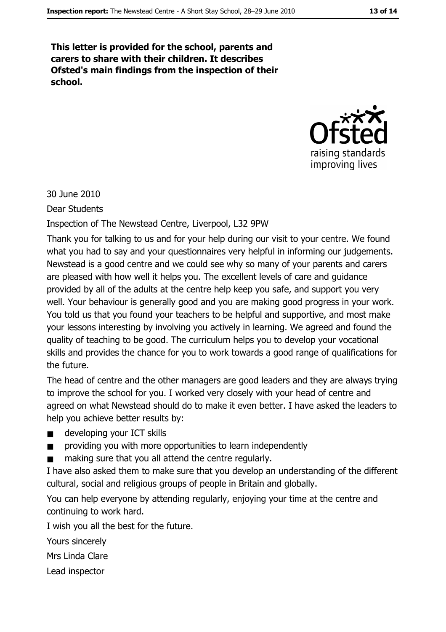This letter is provided for the school, parents and carers to share with their children. It describes Ofsted's main findings from the inspection of their school.



30 June 2010

**Dear Students** 

Inspection of The Newstead Centre, Liverpool, L32 9PW

Thank you for talking to us and for your help during our visit to your centre. We found what you had to say and your questionnaires very helpful in informing our judgements. Newstead is a good centre and we could see why so many of your parents and carers are pleased with how well it helps you. The excellent levels of care and quidance provided by all of the adults at the centre help keep you safe, and support you very well. Your behaviour is generally good and you are making good progress in your work. You told us that you found your teachers to be helpful and supportive, and most make your lessons interesting by involving you actively in learning. We agreed and found the quality of teaching to be good. The curriculum helps you to develop your vocational skills and provides the chance for you to work towards a good range of qualifications for the future.

The head of centre and the other managers are good leaders and they are always trying to improve the school for you. I worked very closely with your head of centre and agreed on what Newstead should do to make it even better. I have asked the leaders to help you achieve better results by:

- developing your ICT skills  $\blacksquare$
- providing you with more opportunities to learn independently  $\blacksquare$
- making sure that you all attend the centre regularly.

I have also asked them to make sure that you develop an understanding of the different cultural, social and religious groups of people in Britain and globally.

You can help everyone by attending regularly, enjoying your time at the centre and continuing to work hard.

I wish you all the best for the future.

Yours sincerely

Mrs Linda Clare

Lead inspector